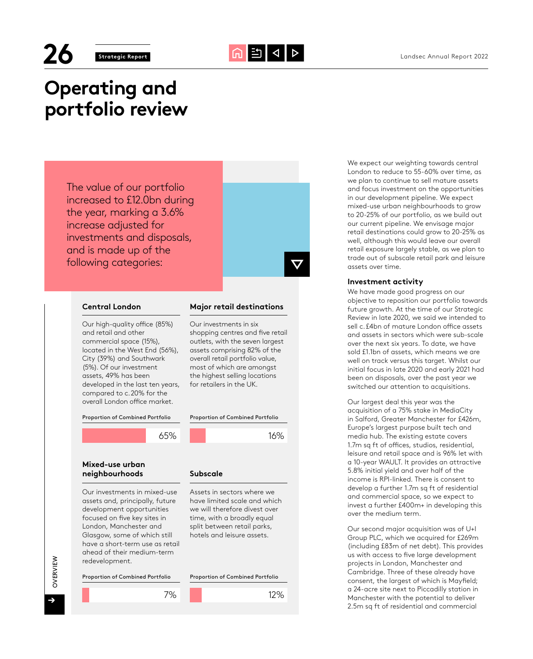

# **Operating and portfolio review**

The value of our portfolio increased to £12.0bn during the year, marking a 3.6% increase adjusted for investments and disposals, and is made up of the following categories:



# **Central London Major retail destinations**

Our high-quality office (85%) and retail and other commercial space (15%), located in the West End (56%), City (39%) and Southwark (5%). Of our investment assets, 49% has been developed in the last ten years, compared to c.20% for the overall London office market.

Proportion of Combined Portfolio



Our investments in six

shopping centres and five retail outlets, with the seven largest assets comprising 82% of the overall retail portfolio value, most of which are amongst the highest selling locations for retailers in the UK.

# **Mixed-use urban neighbourhoods Subscale**

Our investments in mixed-use assets and, principally, future development opportunities focused on five key sites in London, Manchester and Glasgow, some of which still have a short-term use as retail ahead of their medium-term redevelopment.

Proportion of Combined Portfolio



Assets in sectors where we have limited scale and which we will therefore divest over time, with a broadly equal split between retail parks, hotels and leisure assets.



12%



We expect our weighting towards central London to reduce to 55-60% over time, as we plan to continue to sell mature assets and focus investment on the opportunities in our development pipeline. We expect mixed-use urban neighbourhoods to grow to 20-25% of our portfolio, as we build out our current pipeline. We envisage major retail destinations could grow to 20-25% as well, although this would leave our overall retail exposure largely stable, as we plan to trade out of subscale retail park and leisure assets over time.

### **Investment activity**

We have made good progress on our objective to reposition our portfolio towards future growth. At the time of our Strategic Review in late 2020, we said we intended to sell c.£4bn of mature London office assets and assets in sectors which were sub-scale over the next six years. To date, we have sold £1.1bn of assets, which means we are well on track versus this target. Whilst our initial focus in late 2020 and early 2021 had been on disposals, over the past year we switched our attention to acquisitions.

Our largest deal this year was the acquisition of a 75% stake in MediaCity in Salford, Greater Manchester for £426m, Europe's largest purpose built tech and media hub. The existing estate covers 1.7m sq ft of offices, studios, residential, leisure and retail space and is 96% let with a 10-year WAULT. It provides an attractive 5.8% initial yield and over half of the income is RPI-linked. There is consent to develop a further 1.7m sq ft of residential and commercial space, so we expect to invest a further £400m+ in developing this over the medium term.

Our second major acquisition was of U+I Group PLC, which we acquired for £269m (including £83m of net debt). This provides us with access to five large development projects in London, Manchester and Cambridge. Three of these already have consent, the largest of which is Mayfield; a 24-acre site next to Piccadilly station in Manchester with the potential to deliver 2.5m sq ft of residential and commercial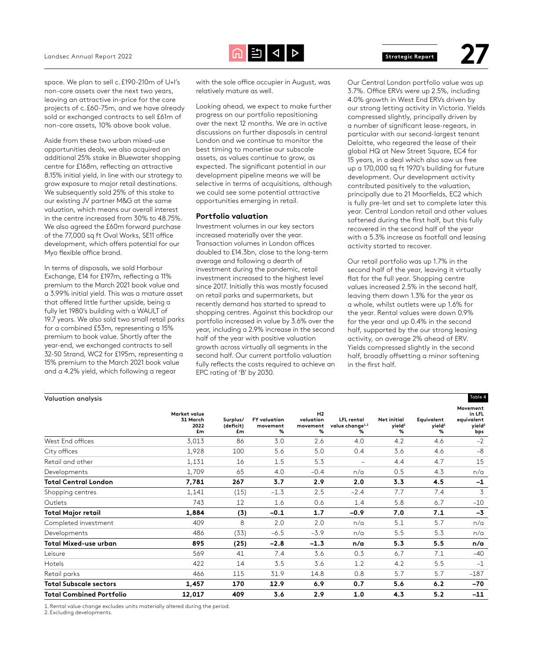

space. We plan to sell c.£190-210m of U+I's non-core assets over the next two years, leaving an attractive in-price for the core projects of c.£60-75m, and we have already sold or exchanged contracts to sell £61m of non-core assets, 10% above book value.

Aside from these two urban mixed-use opportunities deals, we also acquired an additional 25% stake in Bluewater shopping centre for £168m, reflecting an attractive 8.15% initial yield, in line with our strategy to grow exposure to major retail destinations. We subsequently sold 25% of this stake to our existing JV partner M&G at the same valuation, which means our overall interest in the centre increased from 30% to 48.75%. We also agreed the £60m forward purchase of the 77,000 sq ft Oval Works, SE11 office development, which offers potential for our Myo flexible office brand.

In terms of disposals, we sold Harbour Exchange, E14 for £197m, reflecting a 11% premium to the March 2021 book value and a 3.99% initial yield. This was a mature asset that offered little further upside, being a fully let 1980's building with a WAULT of 19.7 years. We also sold two small retail parks for a combined £53m, representing a 15% premium to book value. Shortly after the year-end, we exchanged contracts to sell 32-50 Strand, WC2 for £195m, representing a 15% premium to the March 2021 book value and a 4.2% yield, which following a regear

with the sole office occupier in August, was relatively mature as well.

Looking ahead, we expect to make further progress on our portfolio repositioning over the next 12 months. We are in active discussions on further disposals in central London and we continue to monitor the best timing to monetise our subscale assets, as values continue to grow, as expected. The significant potential in our development pipeline means we will be selective in terms of acquisitions, although we could see some potential attractive opportunities emerging in retail.

#### **Portfolio valuation**

Investment volumes in our key sectors increased materially over the year. Transaction volumes in London offices doubled to £14.3bn, close to the long-term average and following a dearth of investment during the pandemic, retail investment increased to the highest level since 2017. Initially this was mostly focused on retail parks and supermarkets, but recently demand has started to spread to shopping centres. Against this backdrop our portfolio increased in value by 3.6% over the year, including a 2.9% increase in the second half of the year with positive valuation growth across virtually all segments in the second half. Our current portfolio valuation fully reflects the costs required to achieve an EPC rating of 'B' by 2030.

Our Central London portfolio value was up 3.7%. Office ERVs were up 2.5%, including 4.0% growth in West End ERVs driven by our strong letting activity in Victoria. Yields compressed slightly, principally driven by a number of significant lease-regears, in particular with our second-largest tenant Deloitte, who regeared the lease of their global HQ at New Street Square, EC4 for 15 years, in a deal which also saw us free up a 170,000 sq ft 1970's building for future development. Our development activity contributed positively to the valuation, principally due to 21 Moorfields, EC2 which is fully pre-let and set to complete later this year. Central London retail and other values softened during the first half, but this fully recovered in the second half of the year with a 5.3% increase as footfall and leasing activity started to recover.

Our retail portfolio was up 1.7% in the second half of the year, leaving it virtually flat for the full year. Shopping centre values increased 2.5% in the second half, leaving them down 1.3% for the year as a whole, whilst outlets were up 1.6% for the year. Rental values were down 0.9% for the year and up 0.4% in the second half, supported by the our strong leasing activity, on average 2% ahead of ERV. Yields compressed slightly in the second half, broadly offsetting a minor softening in the first half.

| Valuation analysis              |                                        |                             |                                      |                                              |                                                       |                                               |                                       | Table 4                                                       |
|---------------------------------|----------------------------------------|-----------------------------|--------------------------------------|----------------------------------------------|-------------------------------------------------------|-----------------------------------------------|---------------------------------------|---------------------------------------------------------------|
|                                 | Market value<br>31 March<br>2022<br>£m | Surplus/<br>(deficit)<br>£m | <b>FY</b> valuation<br>movement<br>% | H <sub>2</sub><br>valuation<br>movement<br>% | <b>LFL</b> rental<br>value change <sup>1,2</sup><br>% | <b>Net initial</b><br>yield <sup>2</sup><br>% | Equivalent<br>yield <sup>2</sup><br>% | Movement<br>in LFL<br>equivalent<br>yield <sup>2</sup><br>bps |
| West End offices                | 3,013                                  | 86                          | 3.0                                  | 2.6                                          | 4.0                                                   | 4.2                                           | 4.6                                   | $-2$                                                          |
| City offices                    | 1,928                                  | 100                         | 5.6                                  | 5.0                                          | 0.4                                                   | 3.6                                           | 4.6                                   | $-8$                                                          |
| Retail and other                | 1,131                                  | 16                          | 1.5                                  | 5.3                                          | $\overline{\phantom{0}}$                              | 4.4                                           | 4.7                                   | 15                                                            |
| Developments                    | 1,709                                  | 65                          | 4.0                                  | $-0.4$                                       | n/a                                                   | 0.5                                           | 4.3                                   | n/a                                                           |
| <b>Total Central London</b>     | 7,781                                  | 267                         | 3.7                                  | 2.9                                          | 2.0                                                   | 3.3                                           | 4.5                                   | $-1$                                                          |
| Shopping centres                | 1,141                                  | (15)                        | $-1.3$                               | 2.5                                          | $-2.4$                                                | 7.7                                           | 7.4                                   | 3                                                             |
| Outlets                         | 743                                    | 12                          | 1.6                                  | 0.6                                          | 1.4                                                   | 5.8                                           | 6.7                                   | $-10$                                                         |
| <b>Total Major retail</b>       | 1,884                                  | (3)                         | $-0.1$                               | 1.7                                          | $-0.9$                                                | 7.0                                           | 7.1                                   | $-3$                                                          |
| Completed investment            | 409                                    | 8                           | 2.0                                  | 2.0                                          | n/a                                                   | 5.1                                           | 5.7                                   | n/a                                                           |
| Developments                    | 486                                    | (33)                        | $-6.5$                               | $-3.9$                                       | n/a                                                   | 5.5                                           | 5.3                                   | n/a                                                           |
| Total Mixed-use urban           | 895                                    | (25)                        | $-2.8$                               | $-1.3$                                       | n/a                                                   | 5.3                                           | 5.5                                   | n/a                                                           |
| Leisure                         | 569                                    | 41                          | 7.4                                  | 3.6                                          | 0.3                                                   | 6.7                                           | 7.1                                   | $-40$                                                         |
| Hotels                          | 422                                    | 14                          | 3.5                                  | 3.6                                          | 1.2                                                   | 4.2                                           | 5.5                                   | $-1$                                                          |
| Retail parks                    | 466                                    | 115                         | 31.9                                 | 14.8                                         | 0.8                                                   | 5.7                                           | 5.7                                   | $-187$                                                        |
| <b>Total Subscale sectors</b>   | 1,457                                  | 170                         | 12.9                                 | 6.9                                          | 0.7                                                   | 5.6                                           | 6.2                                   | $-70$                                                         |
| <b>Total Combined Portfolio</b> | 12,017                                 | 409                         | 3.6                                  | 2.9                                          | 1.0                                                   | 4.3                                           | 5.2                                   | $-11$                                                         |

1. Rental value change excludes units materially altered during the period.

2. Excluding developments.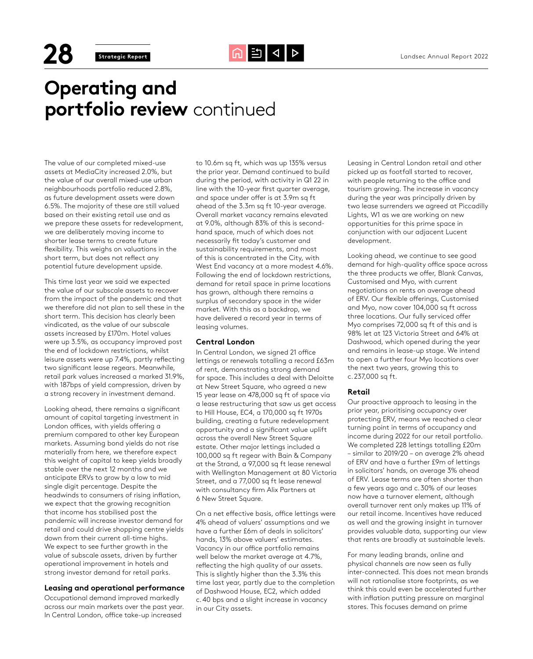**28 Strategic Report Computer Computer Computer Strategic Report** 2022

# **Operating and portfolio review** continued

The value of our completed mixed-use assets at MediaCity increased 2.0%, but the value of our overall mixed-use urban neighbourhoods portfolio reduced 2.8%, as future development assets were down 6.5%. The majority of these are still valued based on their existing retail use and as we prepare these assets for redevelopment, we are deliberately moving income to shorter lease terms to create future flexibility. This weighs on valuations in the short term, but does not reflect any potential future development upside.

This time last year we said we expected the value of our subscale assets to recover from the impact of the pandemic and that we therefore did not plan to sell these in the short term. This decision has clearly been vindicated, as the value of our subscale assets increased by £170m. Hotel values were up 3.5%, as occupancy improved post the end of lockdown restrictions, whilst leisure assets were up 7.4%, partly reflecting two significant lease regears. Meanwhile, retail park values increased a marked 31.9%, with 187bps of yield compression, driven by a strong recovery in investment demand.

Looking ahead, there remains a significant amount of capital targeting investment in London offices, with yields offering a premium compared to other key European markets. Assuming bond yields do not rise materially from here, we therefore expect this weight of capital to keep yields broadly stable over the next 12 months and we anticipate ERVs to grow by a low to mid single digit percentage. Despite the headwinds to consumers of rising inflation, we expect that the growing recognition that income has stabilised post the pandemic will increase investor demand for retail and could drive shopping centre yields down from their current all-time highs. We expect to see further growth in the value of subscale assets, driven by further operational improvement in hotels and strong investor demand for retail parks.

### **Leasing and operational performance**

Occupational demand improved markedly across our main markets over the past year. In Central London, office take-up increased

to 10.6m sq ft, which was up 135% versus the prior year. Demand continued to build during the period, with activity in Q1 22 in line with the 10-year first quarter average, and space under offer is at 3.9m sq ft ahead of the 3.3m sq ft 10-year average. Overall market vacancy remains elevated at 9.0%, although 83% of this is secondhand space, much of which does not necessarily fit today's customer and sustainability requirements, and most of this is concentrated in the City, with West End vacancy at a more modest 4.6%. Following the end of lockdown restrictions, demand for retail space in prime locations has grown, although there remains a surplus of secondary space in the wider market. With this as a backdrop, we have delivered a record year in terms of leasing volumes.

### **Central London**

In Central London, we signed 21 office lettings or renewals totalling a record £63m of rent, demonstrating strong demand for space. This includes a deal with Deloitte at New Street Square, who agreed a new 15 year lease on 478,000 sq ft of space via a lease restructuring that saw us get access to Hill House, EC4, a 170,000 sq ft 1970s building, creating a future redevelopment opportunity and a significant value uplift across the overall New Street Square estate. Other major lettings included a 100,000 sq ft regear with Bain & Company at the Strand, a 97,000 sq ft lease renewal with Wellington Management at 80 Victoria Street, and a 77,000 sq ft lease renewal with consultancy firm Alix Partners at 6 New Street Square.

On a net effective basis, office lettings were 4% ahead of valuers' assumptions and we have a further £6m of deals in solicitors' hands, 13% above valuers' estimates. Vacancy in our office portfolio remains well below the market average at 4.7%, reflecting the high quality of our assets. This is slightly higher than the 3.3% this time last year, partly due to the completion of Dashwood House, EC2, which added c.40 bps and a slight increase in vacancy in our City assets.

Leasing in Central London retail and other picked up as footfall started to recover, with people returning to the office and tourism growing. The increase in vacancy during the year was principally driven by two lease surrenders we agreed at Piccadilly Lights, W1 as we are working on new opportunities for this prime space in conjunction with our adjacent Lucent development.

Looking ahead, we continue to see good demand for high-quality office space across the three products we offer, Blank Canvas, Customised and Myo, with current negotiations on rents on average ahead of ERV. Our flexible offerings, Customised and Myo, now cover 104,000 sq ft across three locations. Our fully serviced offer Myo comprises 72,000 sq ft of this and is 98% let at 123 Victoria Street and 64% at Dashwood, which opened during the year and remains in lease-up stage. We intend to open a further four Myo locations over the next two years, growing this to c.237,000 sq ft.

# **Retail**

Our proactive approach to leasing in the prior year, prioritising occupancy over protecting ERV, means we reached a clear turning point in terms of occupancy and income during 2022 for our retail portfolio. We completed 228 lettings totalling £20m – similar to 2019/20 – on average 2% ahead of ERV and have a further £9m of lettings in solicitors' hands, on average 3% ahead of ERV. Lease terms are often shorter than a few years ago and c.30% of our leases now have a turnover element, although overall turnover rent only makes up 11% of our retail income. Incentives have reduced as well and the growing insight in turnover provides valuable data, supporting our view that rents are broadly at sustainable levels.

For many leading brands, online and physical channels are now seen as fully inter-connected. This does not mean brands will not rationalise store footprints, as we think this could even be accelerated further with inflation putting pressure on marginal stores. This focuses demand on prime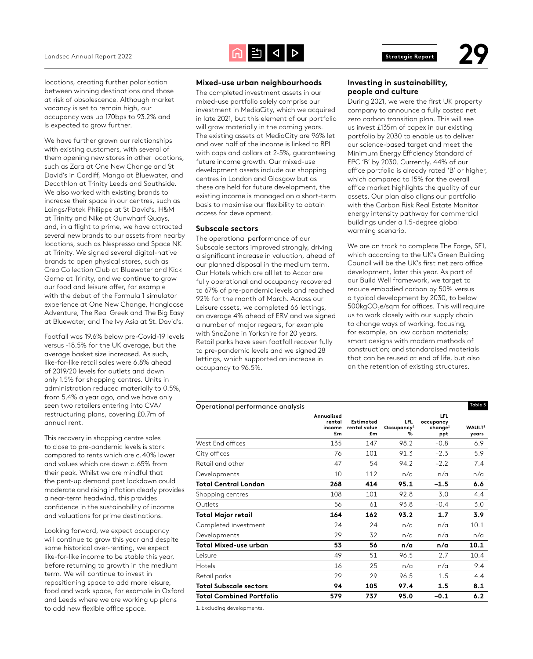

locations, creating further polarisation between winning destinations and those at risk of obsolescence. Although market vacancy is set to remain high, our occupancy was up 170bps to 93.2% and is expected to grow further.

We have further grown our relationships with existing customers, with several of them opening new stores in other locations, such as Zara at One New Change and St David's in Cardiff, Mango at Bluewater, and Decathlon at Trinity Leeds and Southside. We also worked with existing brands to increase their space in our centres, such as Laings/Patek Philippe at St David's, H&M at Trinity and Nike at Gunwharf Quays, and, in a flight to prime, we have attracted several new brands to our assets from nearby locations, such as Nespresso and Space NK at Trinity. We signed several digital-native brands to open physical stores, such as Crep Collection Club at Bluewater and Kick Game at Trinity, and we continue to grow our food and leisure offer, for example with the debut of the Formula 1 simulator experience at One New Change, Hangloose Adventure, The Real Greek and The Big Easy at Bluewater, and The Ivy Asia at St. David's.

Footfall was 19.6% below pre-Covid-19 levels versus -18.5% for the UK average, but the average basket size increased. As such, like-for-like retail sales were 6.8% ahead of 2019/20 levels for outlets and down only 1.5% for shopping centres. Units in administration reduced materially to 0.5%, from 5.4% a year ago, and we have only seen two retailers entering into CVA/ restructuring plans, covering £0.7m of annual rent.

This recovery in shopping centre sales to close to pre-pandemic levels is stark compared to rents which are c.40% lower and values which are down c.65% from their peak. Whilst we are mindful that the pent-up demand post lockdown could moderate and rising inflation clearly provides a near-term headwind, this provides confidence in the sustainability of income and valuations for prime destinations.

Looking forward, we expect occupancy will continue to grow this year and despite some historical over-renting, we expect like-for-like income to be stable this year, before returning to growth in the medium term. We will continue to invest in repositioning space to add more leisure, food and work space, for example in Oxford and Leeds where we are working up plans to add new flexible office space.

## **Mixed-use urban neighbourhoods**

The completed investment assets in our mixed-use portfolio solely comprise our investment in MediaCity, which we acquired in late 2021, but this element of our portfolio will grow materially in the coming years. The existing assets at MediaCity are 96% let and over half of the income is linked to RPI with caps and collars at 2-5%, guaranteeing future income growth. Our mixed-use development assets include our shopping centres in London and Glasgow but as these are held for future development, the existing income is managed on a short-term basis to maximise our flexibility to obtain access for development.

#### **Subscale sectors**

The operational performance of our Subscale sectors improved strongly, driving a significant increase in valuation, ahead of our planned disposal in the medium term. Our Hotels which are all let to Accor are fully operational and occupancy recovered to 67% of pre-pandemic levels and reached 92% for the month of March. Across our Leisure assets, we completed 66 lettings, on average 4% ahead of ERV and we signed a number of major regears, for example with SnoZone in Yorkshire for 20 years. Retail parks have seen footfall recover fully to pre-pandemic levels and we signed 28 lettings, which supported an increase in occupancy to 96.5%.

# **Investing in sustainability, people and culture**

During 2021, we were the first UK property company to announce a fully costed net zero carbon transition plan. This will see us invest £135m of capex in our existing portfolio by 2030 to enable us to deliver our science-based target and meet the Minimum Energy Efficiency Standard of EPC 'B' by 2030. Currently, 44% of our office portfolio is already rated 'B' or higher, which compared to 15% for the overall office market highlights the quality of our assets. Our plan also aligns our portfolio with the Carbon Risk Real Estate Monitor energy intensity pathway for commercial buildings under a 1.5-degree global warming scenario.

We are on track to complete The Forge, SE1, which according to the UK's Green Building Council will be the UK's first net zero office development, later this year. As part of our Build Well framework, we target to reduce embodied carbon by 50% versus a typical development by 2030, to below 500kgCO<sub>2</sub>e/sqm for offices. This will require us to work closely with our supply chain to change ways of working, focusing, for example, on low carbon materials; smart designs with modern methods of construction; and standardised materials that can be reused at end of life, but also on the retention of existing structures.

| Operational performance analysis |                                      |                                 |                                           |                                                       | Table 5                     |
|----------------------------------|--------------------------------------|---------------------------------|-------------------------------------------|-------------------------------------------------------|-----------------------------|
|                                  | Annualised<br>rental<br>income<br>£m | Estimated<br>rental value<br>£m | <b>LFL</b><br>Occupancy <sup>1</sup><br>% | <b>LFL</b><br>occupancy<br>change <sup>1</sup><br>ppt | WAULT <sup>1</sup><br>years |
| West End offices                 | 135                                  | 147                             | 98.2                                      | $-0.8$                                                | 6.9                         |
| City offices                     | 76                                   | 101                             | 91.3                                      | $-2.3$                                                | 5.9                         |
| Retail and other                 | 47                                   | 54                              | 94.2                                      | $-2.2$                                                | 7.4                         |
| Developments                     | 10                                   | 112                             | n/a                                       | n/a                                                   | n/a                         |
| <b>Total Central London</b>      | 268                                  | 414                             | 95.1                                      | $-1.5$                                                | 6.6                         |
| Shopping centres                 | 108                                  | 101                             | 92.8                                      | 3.0                                                   | 4.4                         |
| Outlets                          | 56                                   | 61                              | 93.8                                      | $-0.4$                                                | 3.0                         |
| <b>Total Major retail</b>        | 164                                  | 162                             | 93.2                                      | 1.7                                                   | 3.9                         |
| Completed investment             | 24                                   | 24                              | n/a                                       | n/a                                                   | 10.1                        |
| Developments                     | 29                                   | 32                              | n/a                                       | n/a                                                   | n/a                         |
| Total Mixed-use urban            | 53                                   | 56                              | n/a                                       | n/a                                                   | 10.1                        |
| Leisure                          | 49                                   | 51                              | 96.5                                      | 2.7                                                   | 10.4                        |
| Hotels                           | 16                                   | 25                              | n/a                                       | n/a                                                   | 9.4                         |
| Retail parks                     | 29                                   | 29                              | 96.5                                      | 1.5                                                   | 4.4                         |
| <b>Total Subscale sectors</b>    | 94                                   | 105                             | 97.4                                      | 1.5                                                   | 8.1                         |
| <b>Total Combined Portfolio</b>  | 579                                  | 737                             | 95.0                                      | $-0.1$                                                | 6.2                         |

1. Excluding developments.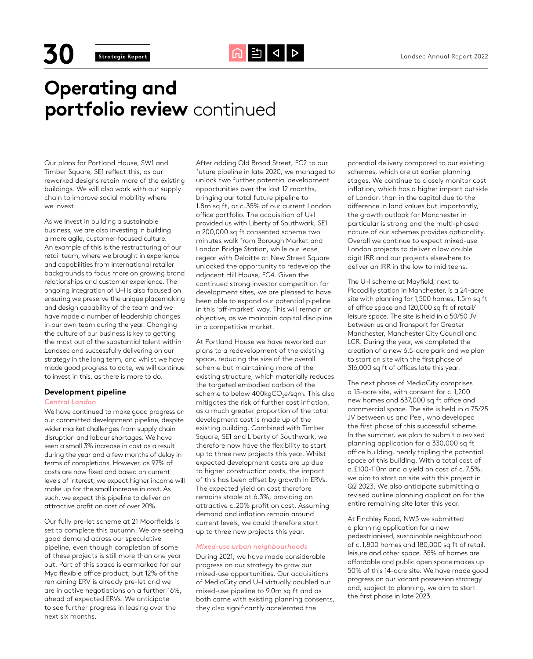**30 Strategic Report** Grades Conduct Annual Report 2022

# **Operating and portfolio review** continued

Our plans for Portland House, SW1 and Timber Square, SE1 reflect this, as our reworked designs retain more of the existing buildings. We will also work with our supply chain to improve social mobility where we invest.

As we invest in building a sustainable business, we are also investing in building a more agile, customer-focused culture. An example of this is the restructuring of our retail team, where we brought in experience and capabilities from international retailer backgrounds to focus more on growing brand relationships and customer experience. The ongoing integration of U+I is also focused on ensuring we preserve the unique placemaking and design capability of the team and we have made a number of leadership changes in our own team during the year. Changing the culture of our business is key to getting the most out of the substantial talent within Landsec and successfully delivering on our strategy in the long term, and whilst we have made good progress to date, we will continue to invest in this, as there is more to do.

## **Development pipeline**

### *Central London*

We have continued to make good progress on our committed development pipeline, despite wider market challenges from supply chain disruption and labour shortages. We have seen a small 3% increase in cost as a result during the year and a few months of delay in terms of completions. However, as 97% of costs are now fixed and based on current levels of interest, we expect higher income will make up for the small increase in cost. As such, we expect this pipeline to deliver an attractive profit on cost of over 20%.

Our fully pre-let scheme at 21 Moorfields is set to complete this autumn. We are seeing good demand across our speculative pipeline, even though completion of some of these projects is still more than one year out. Part of this space is earmarked for our Myo flexible office product, but 12% of the remaining ERV is already pre-let and we are in active negotiations on a further 16%, ahead of expected ERVs. We anticipate to see further progress in leasing over the next six months.

After adding Old Broad Street, EC2 to our future pipeline in late 2020, we managed to unlock two further potential development opportunities over the last 12 months, bringing our total future pipeline to 1.8m sq ft, or c.35% of our current London office portfolio. The acquisition of U+I provided us with Liberty of Southwark, SE1 a 200,000 sq ft consented scheme two minutes walk from Borough Market and London Bridge Station, while our lease regear with Deloitte at New Street Square unlocked the opportunity to redevelop the adjacent Hill House, EC4. Given the continued strong investor competition for development sites, we are pleased to have been able to expand our potential pipeline in this 'off-market' way. This will remain an objective, as we maintain capital discipline in a competitive market.

At Portland House we have reworked our plans to a redevelopment of the existing space, reducing the size of the overall scheme but maintaining more of the existing structure, which materially reduces the targeted embodied carbon of the scheme to below 400kgCO<sub>2</sub>e/sqm. This also mitigates the risk of further cost inflation, as a much greater proportion of the total development cost is made up of the existing building. Combined with Timber Square, SE1 and Liberty of Southwark, we therefore now have the flexibility to start up to three new projects this year. Whilst expected development costs are up due to higher construction costs, the impact of this has been offset by growth in ERVs. The expected yield on cost therefore remains stable at 6.3%, providing an attractive c.20% profit on cost. Assuming demand and inflation remain around current levels, we could therefore start up to three new projects this year.

### *Mixed-use urban neighbourhoods*

During 2021, we have made considerable progress on our strategy to grow our mixed-use opportunities. Our acquisitions of MediaCity and U+I virtually doubled our mixed-use pipeline to 9.0m sq ft and as both came with existing planning consents, they also significantly accelerated the

potential delivery compared to our existing schemes, which are at earlier planning stages. We continue to closely monitor cost inflation, which has a higher impact outside of London than in the capital due to the difference in land values but importantly, the growth outlook for Manchester in particular is strong and the multi-phased nature of our schemes provides optionality. Overall we continue to expect mixed-use London projects to deliver a low double digit IRR and our projects elsewhere to deliver an IRR in the low to mid teens.

The U+I scheme at Mayfield, next to Piccadilly station in Manchester, is a 24-acre site with planning for 1,500 homes, 1.5m sq ft of office space and 120,000 sq ft of retail/ leisure space. The site is held in a 50/50 JV between us and Transport for Greater Manchester, Manchester City Council and LCR. During the year, we completed the creation of a new 6.5-acre park and we plan to start on site with the first phase of 316,000 sq ft of offices late this year.

The next phase of MediaCity comprises a 15-acre site, with consent for c.1,200 new homes and 637,000 sq ft office and commercial space. The site is held in a 75/25 JV between us and Peel, who developed the first phase of this successful scheme. In the summer, we plan to submit a revised planning application for a 330,000 sq ft office building, nearly tripling the potential space of this building. With a total cost of c.£100-110m and a yield on cost of c.7.5%, we aim to start on site with this project in Q2 2023. We also anticipate submitting a revised outline planning application for the entire remaining site later this year.

At Finchley Road, NW3 we submitted a planning application for a new pedestrianised, sustainable neighbourhood of c.1,800 homes and 180,000 sa ft of retail, leisure and other space. 35% of homes are affordable and public open space makes up 50% of this 14-acre site. We have made good progress on our vacant possession strategy and, subject to planning, we aim to start the first phase in late 2023.